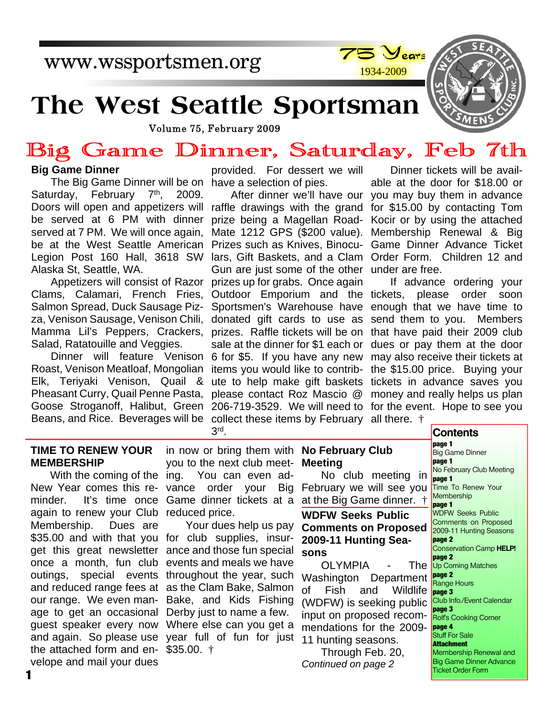www.wssportsmen.org



# **The West Seattle Sportsman**

Volume 75, February 2009

## Big Game Dinner, Saturday, Feb 7th

#### **Big Game Dinner**

The Big Game Dinner will be on have a selection of pies. Doors will open and appetizers will raffle drawings with the grand Saturday, February 7<sup>th</sup>, 2009. be served at 6 PM with dinner served at 7 PM. We will once again, be at the West Seattle American Legion Post 160 Hall, 3618 SW Alaska St, Seattle, WA.

Appetizers will consist of Razor Clams, Calamari, French Fries, Salmon Spread, Duck Sausage Pizza, Venison Sausage, Venison Chili, Mamma Lil's Peppers, Crackers, Salad, Ratatouille and Veggies.

Roast, Venison Meatloaf, Mongolian items you would like to contrib-Elk, Teriyaki Venison, Quail & ute to help make gift baskets Pheasant Curry, Quail Penne Pasta, please contact Roz Mascio @ Goose Stroganoff, Halibut, Green 206-719-3529. We will need to for the event. Hope to see you Beans, and Rice. Beverages will be collect these items by February all there.  $\dagger$ 

provided. For dessert we will

prize being a Magellan Road-Mate 1212 GPS (\$200 value). Prizes such as Knives, Binoculars, Gift Baskets, and a Clam Order Form. Children 12 and Gun are just some of the other under are free. prizes up for grabs. Once again Outdoor Emporium and the tickets, please order soon Sportsmen's Warehouse have donated gift cards to use as prizes. Raffle tickets will be on sale at the dinner for \$1 each or Dinner will feature Venison 6 for \$5. If you have any new 3 rd .

After dinner we'll have our you may buy them in advance Dinner tickets will be available at the door for \$18.00 or for \$15.00 by contacting Tom Kocir or by using the attached Membership Renewal & Big Game Dinner Advance Ticket

> If advance ordering your enough that we have time to send them to you. Members that have paid their 2009 club dues or pay them at the door may also receive their tickets at the \$15.00 price. Buying your tickets in advance saves you money and really helps us plan

#### **TIME TO RENEW YOUR MEMBERSHIP**

With the coming of the ing. New Year comes this re-vance order your Big minder. It's time once Game dinner tickets at a again to renew your Club reduced price. Membership. Dues are \$35.00 and with that you for club supplies, insurget this great newsletter ance and those fun special once a month, fun club events and meals we have outings, special events throughout the year, such and reduced range fees at as the Clam Bake, Salmon our range. We even man-Bake, and Kids Fishing age to get an occasional Derby just to name a few. guest speaker every now Where else can you get a and again. So please use year full of fun for just the attached form and en-\$35.00. † velope and mail your dues

in now or bring them with **No February Club** you to the next club meet-You can even ad-

Your dues help us pay

## **Meeting**

No club meeting in February we will see you at the Big Game dinner. †

**WDFW Seeks Public Comments on Proposed 2009-11 Hunting Seasons**

OLYMPIA - The Washington Department of Fish and Wildlife (WDFW) is seeking public input on proposed recommendations for the 2009- 11 hunting seasons.

Through Feb. 20, *Continued on page 2*

**Contents page 1 Big Game Dinner page 1** No February Club Meeting **page 1** Time To Renew Your **Membership page 1** WDFW Seeks Public Comments on Proposed 2009-11 Hunting Seasons **page 2** Conservation Camp **HELP! page 2** Up Coming Matches **page 2** Range Hours **page 3** Club Info./Event Calendar **page 3** Rolf's Cooking Corner **page 4** Stuff For Sale **Attachment** Membership Renewal and Big Game Dinner Advance Ticket Order Form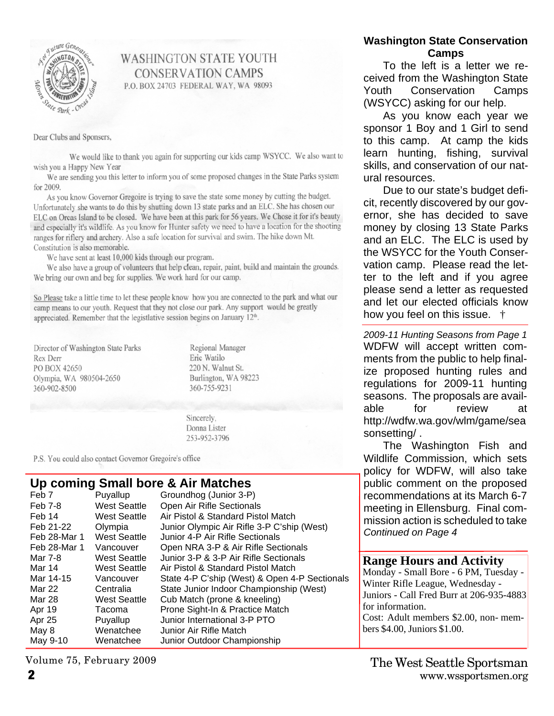

#### **WASHINGTON STATE YOUTH CONSERVATION CAMPS** P.O. BOX 24703 FEDERAL WAY, WA 98093

Dear Clubs and Sponsers,

We would like to thank you again for supporting our kids camp WSYCC. We also want to wish you a Happy New Year

We are sending you this letter to inform you of some proposed changes in the State Parks system for 2009.

As you know Governor Gregoire is trying to save the state some money by cutting the budget. Unfortunately she wants to do this by shutting down 13 state parks and an ELC. She has chosen our ELC on Orcas Island to be closed. We have been at this park for 56 years. We Chose it for it's beauty and especially it's wildlife. As you know for Hunter safety we need to have a location for the shooting ranges for riflery and archery. Also a safe location for survival and swim. The hike down Mt. Constitution is also memorable.

We have sent at least 10,000 kids through our program.

We also have a group of volunteers that help clean, repair, paint, build and maintain the grounds. We bring our own and beg for supplies. We work hard for our camp.

So Please take a little time to let these people know how you are connected to the park and what our camp means to our youth. Request that they not close our park. Any support would be greatly appreciated. Remember that the legistlative session begins on January 12<sup>th</sup>.

Director of Washington State Parks Rex Derr PO BOX 42650 Olympia, WA 980504-2650 360-902-8500

Regional Manager Eric Watilo 220 N. Walnut St. Burlington, WA 98223 360-755-9231

Sincerely, Donna Lister 253-952-3796

P.S. You could also contact Governor Gregoire's office

#### **Up coming Small bore & Air Matches**

| Feb 7        | Puyallup            | Groundhog (Junior 3-P)                        |
|--------------|---------------------|-----------------------------------------------|
| Feb 7-8      | <b>West Seattle</b> | Open Air Rifle Sectionals                     |
| Feb 14       | <b>West Seattle</b> | Air Pistol & Standard Pistol Match            |
| Feb 21-22    | Olympia             | Junior Olympic Air Rifle 3-P C'ship (West)    |
| Feb 28-Mar 1 | <b>West Seattle</b> | Junior 4-P Air Rifle Sectionals               |
| Feb 28-Mar 1 | Vancouver           | Open NRA 3-P & Air Rifle Sectionals           |
| Mar 7-8      | West Seattle        | Junior 3-P & 3-P Air Rifle Sectionals         |
| Mar 14       | <b>West Seattle</b> | Air Pistol & Standard Pistol Match            |
| Mar 14-15    | Vancouver           | State 4-P C'ship (West) & Open 4-P Sectionals |
| Mar 22       | Centralia           | State Junior Indoor Championship (West)       |
| Mar 28       | <b>West Seattle</b> | Cub Match (prone & kneeling)                  |
| Apr 19       | Tacoma              | Prone Sight-In & Practice Match               |
| Apr 25       | Puyallup            | Junior International 3-P PTO                  |
| May 8        | Wenatchee           | Junior Air Rifle Match                        |
| May 9-10     | Wenatchee           | Junior Outdoor Championship                   |
|              |                     |                                               |

#### **Washington State Conservation Camps**

To the left is a letter we received from the Washington State Youth Conservation Camps (WSYCC) asking for our help.

As you know each year we sponsor 1 Boy and 1 Girl to send to this camp. At camp the kids learn hunting, fishing, survival skills, and conservation of our natural resources.

Due to our state's budget deficit, recently discovered by our governor, she has decided to save money by closing 13 State Parks and an ELC. The ELC is used by the WSYCC for the Youth Conservation camp. Please read the letter to the left and if you agree please send a letter as requested and let our elected officials know how you feel on this issue. †

*2009-11 Hunting Seasons from Page 1* WDFW will accept written comments from the public to help finalize proposed hunting rules and regulations for 2009-11 hunting seasons. The proposals are available for review at http://wdfw.wa.gov/wlm/game/sea sonsetting/ .

The Washington Fish and Wildlife Commission, which sets policy for WDFW, will also take public comment on the proposed recommendations at its March 6-7 meeting in Ellensburg. Final commission action is scheduled to take *Continued on Page 4*

#### **Range Hours and Activity**

Monday - Small Bore - 6 PM, Tuesday - Winter Rifle League, Wednesday - Juniors - Call Fred Burr at 206-935-4883 for information. Cost: Adult members \$2.00, non- members \$4.00, Juniors \$1.00.

Volume 75, February 2009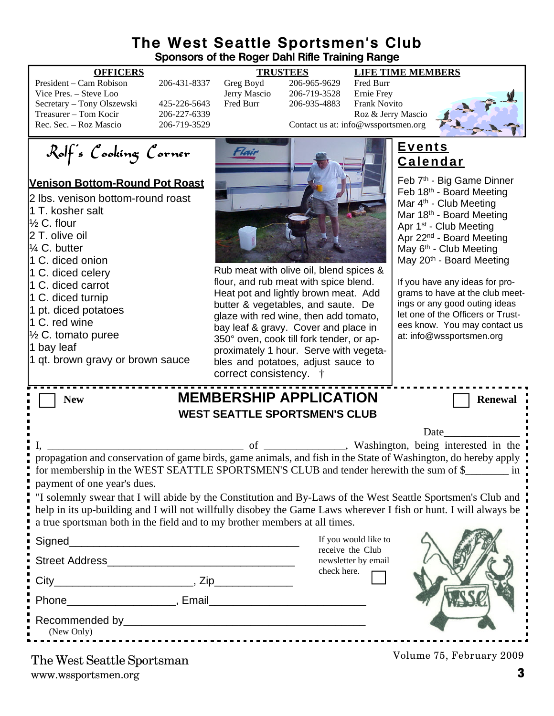#### **The West Seattle Sportsmen's Club Sponsors of the Roger Dahl Rifle Training Range**

| President – Cam Robison    |  |
|----------------------------|--|
| Vice Pres. – Steve Loo     |  |
| Secretary - Tony Olszewski |  |
| Treasurer – Tom Kocir      |  |
| Rec. Sec. – Roz Mascio     |  |

#### **OFFICERS TRUSTEES LIFE TIME MEMBERS**

206-431-8337 Greg Boyd 206-965-9629 Fred Burr<br>Jerry Mascio 206-719-3528 Ernie Frey Vich Pres. – Steve 206-719-3528 Ernie Frey<br>Fred Burr – 206-935-4883 Frank Novi 425-226-5643 Fred Burr 206-935-4883 Frank Novito Treasurer – Tom Contact us at: info@wsportsmen.org<br>206-719-3529 Contact us at: info@wsportsmen.org Contact us at: info@wssportsmen.org

Rolf's Cooking Corner

#### **Venison Bottom-Round Pot Roast**

| 2 lbs. venison bottom-round roast<br>1 T. kosher salt<br>$\frac{1}{2}$ C. flour<br>2 T. olive oil<br>1/4 C. butter<br>1 C. diced onion<br>1 C. diced celery<br>1 C. diced carrot<br>1 C. diced turnip<br>1 pt. diced potatoes<br>1 C. red wine<br>$\frac{1}{2}$ C. tomato puree<br>1 bay leaf<br>1 qt. brown gravy or brown sauce | Rub meat with<br>flour, and rub r<br>Heat pot and li<br>butter & vegeta<br>glaze with red<br>bay leaf & grav<br>350° oven, coc<br>proximately 1 h<br>bles and potat<br>correct consis |
|-----------------------------------------------------------------------------------------------------------------------------------------------------------------------------------------------------------------------------------------------------------------------------------------------------------------------------------|---------------------------------------------------------------------------------------------------------------------------------------------------------------------------------------|
| <b>New</b>                                                                                                                                                                                                                                                                                                                        | <b>MEMBERSHIP</b><br><b>WEST SEATTLE SP</b>                                                                                                                                           |
| I,                                                                                                                                                                                                                                                                                                                                | $\circ$ of                                                                                                                                                                            |
| propagation and conservation of game birds, game anima<br>for membership in the WEST SEATTLE SPORTSMEN                                                                                                                                                                                                                            |                                                                                                                                                                                       |
| payment of one year's dues.<br>"I solemnly swear that I will abide by the Constitution a<br>help in its up-building and I will not willfully disobey tl<br>a true sportsman both in the field and to my brother mer                                                                                                               |                                                                                                                                                                                       |
| Signed_______________________                                                                                                                                                                                                                                                                                                     |                                                                                                                                                                                       |
| Street Address                                                                                                                                                                                                                                                                                                                    |                                                                                                                                                                                       |
| City                                                                                                                                                                                                                                                                                                                              |                                                                                                                                                                                       |



#### olive oil, blend spices & neat with spice blend. ghtly brown meat. Add ables, and saute. De wine, then add tomato, y. Cover and place in ok till fork tender, or aphour. Serve with vegetatoes, adjust sauce to stency.  $\dagger$

### **Events Calendar**

Feb 7<sup>th</sup> - Big Game Dinner Feb 18<sup>th</sup> - Board Meeting Mar 4<sup>th</sup> - Club Meeting Mar 18<sup>th</sup> - Board Meeting Apr 1st - Club Meeting Apr 22nd - Board Meeting May 6<sup>th</sup> - Club Meeting May 20<sup>th</sup> - Board Meeting

If you have any ideas for programs to have at the club meetings or any good outing ideas let one of the Officers or Trustees know. You may contact us at: info@wssportsmen.org

| <b>New</b>                             |                                                                            | <b>MEMBERSHIP APPLICATION</b><br><b>WEST SEATTLE SPORTSMEN'S CLUB</b> | <b>Renewal</b>                                                                                                                                                                                                                   |
|----------------------------------------|----------------------------------------------------------------------------|-----------------------------------------------------------------------|----------------------------------------------------------------------------------------------------------------------------------------------------------------------------------------------------------------------------------|
|                                        |                                                                            |                                                                       |                                                                                                                                                                                                                                  |
|                                        |                                                                            |                                                                       | Date and the same state of the state of the state of the state of the state of the state of the state of the state of the state of the state of the state of the state of the state of the state of the state of the state of    |
|                                        |                                                                            |                                                                       |                                                                                                                                                                                                                                  |
| payment of one year's dues.            |                                                                            |                                                                       | propagation and conservation of game birds, game animals, and fish in the State of Washington, do hereby apply<br>for membership in the WEST SEATTLE SPORTSMEN'S CLUB and tender herewith the sum of \$________ in :             |
|                                        | a true sportsman both in the field and to my brother members at all times. |                                                                       | "I solemnly swear that I will abide by the Constitution and By-Laws of the West Seattle Sportsmen's Club and<br>help in its up-building and I will not willfully disobey the Game Laws wherever I fish or hunt. I will always be |
|                                        |                                                                            | If you would like to                                                  |                                                                                                                                                                                                                                  |
|                                        |                                                                            | receive the Club<br>newsletter by email                               |                                                                                                                                                                                                                                  |
|                                        |                                                                            | check here.                                                           |                                                                                                                                                                                                                                  |
|                                        |                                                                            |                                                                       |                                                                                                                                                                                                                                  |
| (New Only)                             |                                                                            |                                                                       |                                                                                                                                                                                                                                  |
| <sup>N</sup> ha Wast Saattla Sportsman |                                                                            |                                                                       | Volume 75, February 2009                                                                                                                                                                                                         |

www.wssportsmen.org **3** The West Seattle Sportsman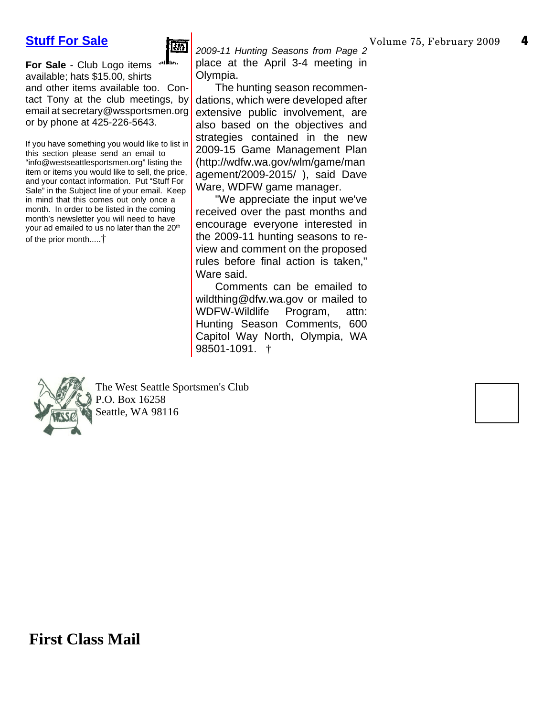#### **Stuff For Sale**



**For Sale** - Club Logo items available; hats \$15.00, shirts and other items available too. Contact Tony at the club meetings, by email at secretary@wssportsmen.org or by phone at 425-226-5643.

If you have something you would like to list in this section please send an email to "info@westseattlesportsmen.org" listing the item or items you would like to sell, the price, and your contact information. Put "Stuff For Sale" in the Subject line of your email. Keep in mind that this comes out only once a month. In order to be listed in the coming month's newsletter you will need to have your ad emailed to us no later than the 20<sup>th</sup> of the prior month.....†

*2009-11 Hunting Seasons from Page 2* place at the April 3-4 meeting in Olympia.

The hunting season recommendations, which were developed after extensive public involvement, are also based on the objectives and strategies contained in the new 2009-15 Game Management Plan (http://wdfw.wa.gov/wlm/game/man agement/2009-2015/ ), said Dave Ware, WDFW game manager.

"We appreciate the input we've received over the past months and encourage everyone interested in the 2009-11 hunting seasons to review and comment on the proposed rules before final action is taken," Ware said.

Comments can be emailed to wildthing@dfw.wa.gov or mailed to WDFW-Wildlife Program, attn: Hunting Season Comments, 600 Capitol Way North, Olympia, WA 98501-1091. †



The West Seattle Sportsmen's Club P.O. Box 16258 Seattle, WA 98116

**First Class Mail**